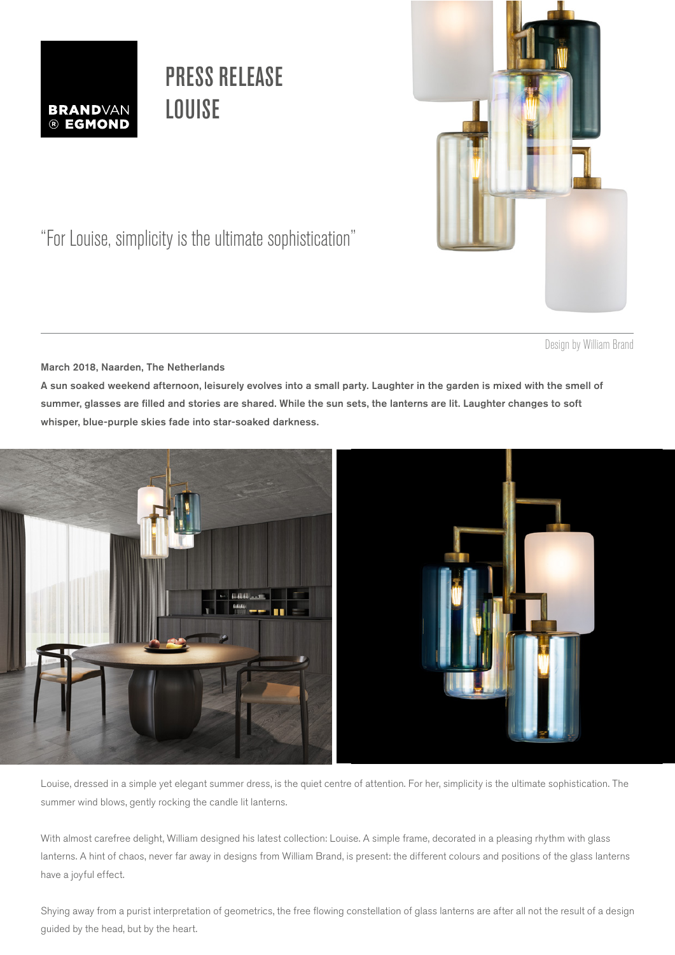

## PRESS RELEASE **LOUISE**



"For Louise, simplicity is the ultimate sophistication"

Design by William Brand

March 2018, Naarden, The Netherlands

A sun soaked weekend afternoon, leisurely evolves into a small party. Laughter in the garden is mixed with the smell of summer, glasses are filled and stories are shared. While the sun sets, the lanterns are lit. Laughter changes to soft whisper, blue-purple skies fade into star-soaked darkness.



Louise, dressed in a simple yet elegant summer dress, is the quiet centre of attention. For her, simplicity is the ultimate sophistication. The summer wind blows, gently rocking the candle lit lanterns.

With almost carefree delight, William designed his latest collection: Louise. A simple frame, decorated in a pleasing rhythm with glass lanterns. A hint of chaos, never far away in designs from William Brand, is present: the different colours and positions of the glass lanterns have a joyful effect.

Shying away from a purist interpretation of geometrics, the free flowing constellation of glass lanterns are after all not the result of a design guided by the head, but by the heart.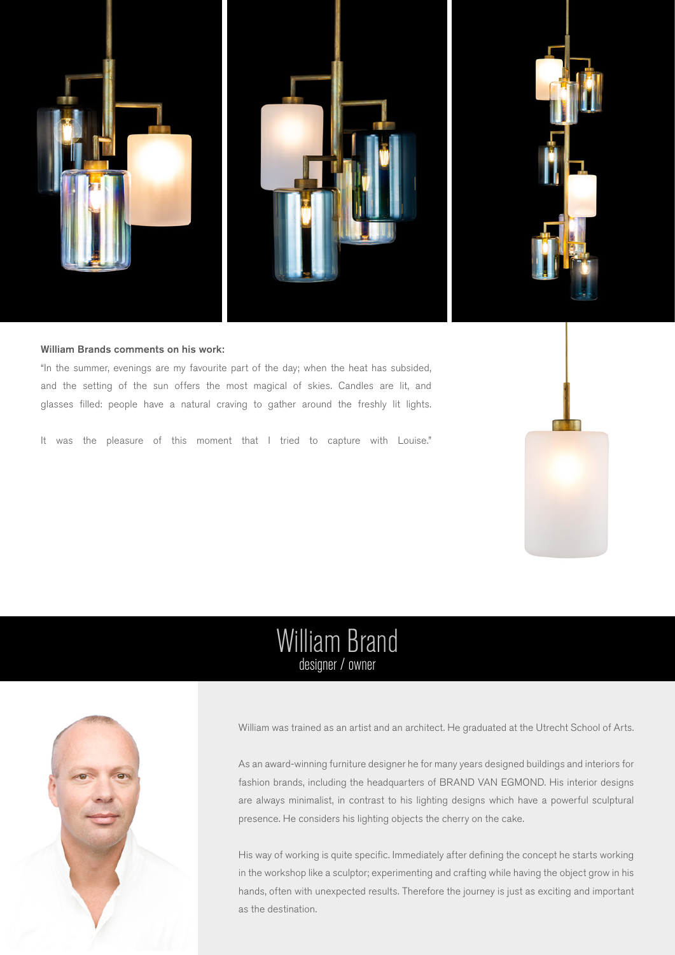

### William Brands comments on his work:

"In the summer, evenings are my favourite part of the day; when the heat has subsided, and the setting of the sun offers the most magical of skies. Candles are lit, and glasses filled: people have a natural craving to gather around the freshly lit lights.

It was the pleasure of this moment that I tried to capture with Louise."



### William Brand designer / owner



William was trained as an artist and an architect. He graduated at the Utrecht School of Arts.

As an award-winning furniture designer he for many years designed buildings and interiors for fashion brands, including the headquarters of BRAND VAN EGMOND. His interior designs are always minimalist, in contrast to his lighting designs which have a powerful sculptural presence. He considers his lighting objects the cherry on the cake.

His way of working is quite specific. Immediately after defining the concept he starts working in the workshop like a sculptor; experimenting and crafting while having the object grow in his hands, often with unexpected results. Therefore the journey is just as exciting and important as the destination.